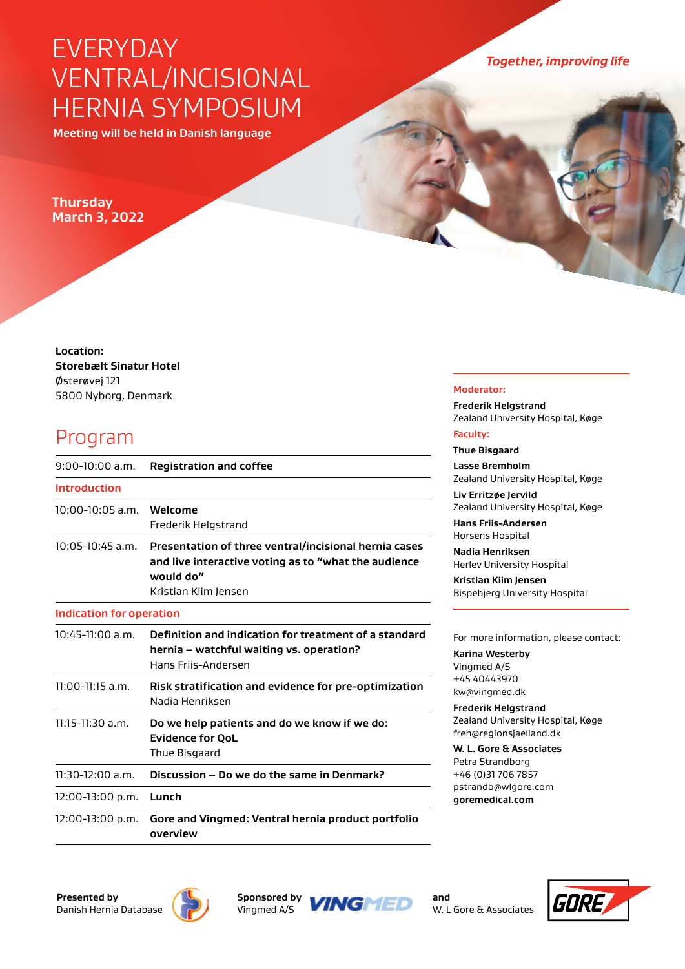# EVERYDAY VENTRAL/INCISIONAL HERNIA SYMPOSIUM

**Meeting will be held in Danish language**

## **Thursday March 3, 2022**

**Location: Storebælt Sinatur Hotel**  Østerøvej 121 5800 Nyborg, Denmark

# Program

| $9:00-10:00$ a.m.               | <b>Registration and coffee</b>                                                                                                                     |
|---------------------------------|----------------------------------------------------------------------------------------------------------------------------------------------------|
| <b>Introduction</b>             |                                                                                                                                                    |
| $10:00 - 10:05$ a.m.            | Welcome<br>Frederik Helgstrand                                                                                                                     |
| 10:05-10:45 a.m.                | Presentation of three ventral/incisional hernia cases<br>and live interactive voting as to "what the audience<br>would do"<br>Kristian Kiim Jensen |
| <b>Indication for operation</b> |                                                                                                                                                    |
| 10:45-11:00 a.m.                | Definition and indication for treatment of a standard<br>hernia - watchful waiting vs. operation?<br>Hans Frijs-Andersen                           |
| $11:00-11:15$ a.m.              | Risk stratification and evidence for pre-optimization<br>Nadia Henriksen                                                                           |
| $11:15-11:30$ a.m.              | Do we help patients and do we know if we do:<br><b>Evidence for QoL</b><br>Thue Bisgaard                                                           |
| 11:30-12:00 a.m.                | Discussion – Do we do the same in Denmark?                                                                                                         |
| 12:00-13:00 p.m.                | Lunch                                                                                                                                              |
| 12:00-13:00 p.m.                | Gore and Vingmed: Ventral hernia product portfolio<br>overview                                                                                     |

**Together, improving life** 

#### **Moderator:**

**Frederik Helgstrand** Zealand University Hospital, Køge **Faculty:**

**Thue Bisgaard Lasse Bremholm** Zealand University Hospital, Køge

**Liv Erritzøe Jervild** Zealand University Hospital, Køge

**Hans Friis-Andersen**

Horsens Hospital **Nadia Henriksen** Herlev University Hospital

**Kristian Kiim Jensen** Bispebjerg University Hospital

#### For more information, please contact:

**Karina Westerby**  Vingmed A/S +45 40443970 kw@vingmed.dk

**Frederik Helgstrand** Zealand University Hospital, Køge freh@regionsjaelland.dk

**W. L. Gore & Associates** Petra Strandborg +46 (0)31 706 7857 pstrandb@wlgore.com **goremedical.com**